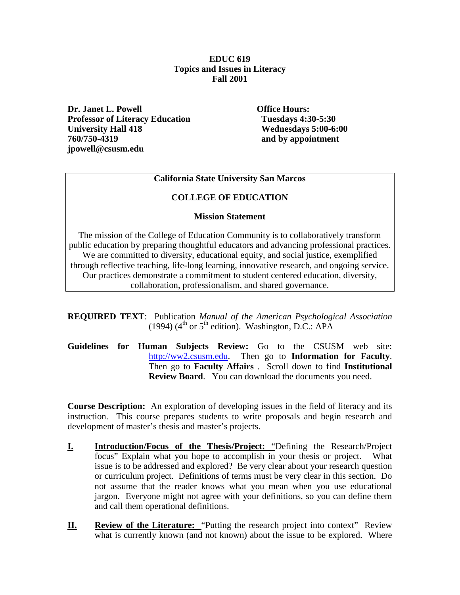#### **EDUC 619 Topics and Issues in Literacy Fall 2001**

**Dr. Janet L. Powell Constant Constant Constant Constant Office Hours: Professor of Literacy Education Tuesdays 4:30-5:30 University Hall 418** Wednesdays 5:00-6:00<br>
760/750-4319 and by appointment **jpowell@csusm.edu**

**760/750-4319 and by appointment**

## **California State University San Marcos**

## **COLLEGE OF EDUCATION**

#### **Mission Statement**

The mission of the College of Education Community is to collaboratively transform public education by preparing thoughtful educators and advancing professional practices. We are committed to diversity, educational equity, and social justice, exemplified through reflective teaching, life-long learning, innovative research, and ongoing service. Our practices demonstrate a commitment to student centered education, diversity, collaboration, professionalism, and shared governance.

**REQUIRED TEXT**: Publication *Manual of the American Psychological Association* (1994) ( $4<sup>th</sup>$  or  $5<sup>th</sup>$  edition). Washington, D.C.: APA

**Guidelines for Human Subjects Review:** Go to the CSUSM web site: [http://ww2.csusm.edu.](http://ww2.csusm.edu/) Then go to **Information for Faculty**. Then go to **Faculty Affairs** . Scroll down to find **Institutional Review Board**. You can download the documents you need.

**Course Description:** An exploration of developing issues in the field of literacy and its instruction. This course prepares students to write proposals and begin research and development of master's thesis and master's projects.

- **I. Introduction/Focus of the Thesis/Project:** "Defining the Research/Project focus" Explain what you hope to accomplish in your thesis or project. What issue is to be addressed and explored? Be very clear about your research question or curriculum project. Definitions of terms must be very clear in this section. Do not assume that the reader knows what you mean when you use educational jargon. Everyone might not agree with your definitions, so you can define them and call them operational definitions.
- **II. Review of the Literature:** "Putting the research project into context" Review what is currently known (and not known) about the issue to be explored. Where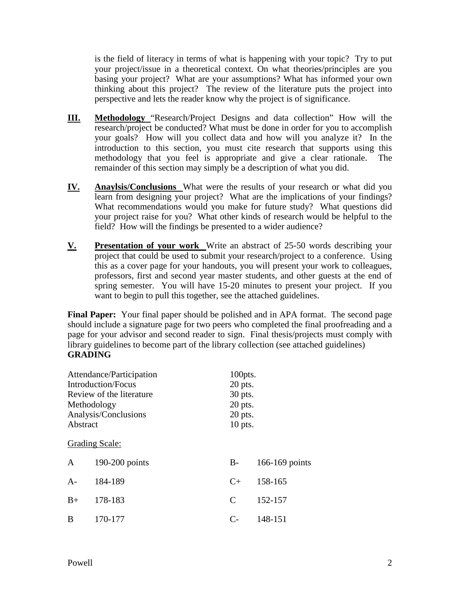is the field of literacy in terms of what is happening with your topic? Try to put your project/issue in a theoretical context. On what theories/principles are you basing your project? What are your assumptions? What has informed your own thinking about this project? The review of the literature puts the project into perspective and lets the reader know why the project is of significance.

- **III. Methodology** "Research/Project Designs and data collection" How will the research/project be conducted? What must be done in order for you to accomplish your goals? How will you collect data and how will you analyze it? In the introduction to this section, you must cite research that supports using this methodology that you feel is appropriate and give a clear rationale. The remainder of this section may simply be a description of what you did.
- **IV. Anaylsis/Conclusions** What were the results of your research or what did you learn from designing your project?What are the implications of your findings? What recommendations would you make for future study? What questions did your project raise for you? What other kinds of research would be helpful to the field? How will the findings be presented to a wider audience?
- **V. Presentation of your work** Write an abstract of 25-50 words describing your project that could be used to submit your research/project to a conference. Using this as a cover page for your handouts, you will present your work to colleagues, professors, first and second year master students, and other guests at the end of spring semester. You will have 15-20 minutes to present your project. If you want to begin to pull this together, see the attached guidelines.

**Final Paper:** Your final paper should be polished and in APA format. The second page should include a signature page for two peers who completed the final proofreading and a page for your advisor and second reader to sign. Final thesis/projects must comply with library guidelines to become part of the library collection (see attached guidelines) **GRADING**

| Attendance/Participation  |                | 100pts.   |                |
|---------------------------|----------------|-----------|----------------|
| <b>Introduction/Focus</b> |                | 20 pts.   |                |
| Review of the literature  |                | 30 pts.   |                |
| Methodology               |                | 20 pts.   |                |
| Analysis/Conclusions      |                | $20$ pts. |                |
| Abstract                  |                | $10$ pts. |                |
|                           | Grading Scale: |           |                |
| $\mathbf{A}$              | 190-200 points | $B -$     | 166-169 points |
| $A -$                     | 184-189        | $C+$      | 158-165        |
| $B+$                      | 178-183        | C         | 152-157        |
| B                         | 170-177        | $C-$      | 148-151        |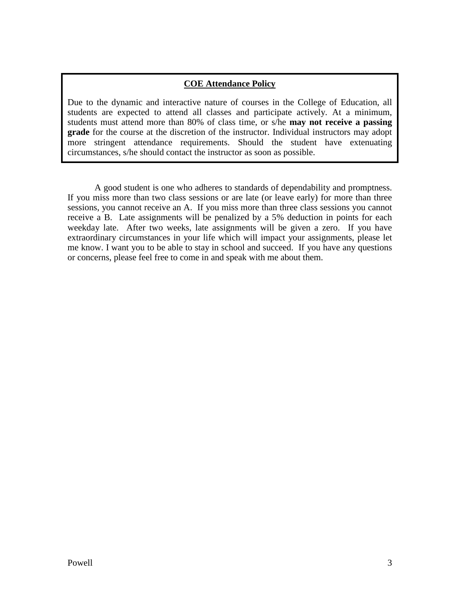## **COE Attendance Policy**

Due to the dynamic and interactive nature of courses in the College of Education, all students are expected to attend all classes and participate actively. At a minimum, students must attend more than 80% of class time, or s/he **may not receive a passing grade** for the course at the discretion of the instructor. Individual instructors may adopt more stringent attendance requirements. Should the student have extenuating circumstances, s/he should contact the instructor as soon as possible.

A good student is one who adheres to standards of dependability and promptness. If you miss more than two class sessions or are late (or leave early) for more than three sessions, you cannot receive an A. If you miss more than three class sessions you cannot receive a B. Late assignments will be penalized by a 5% deduction in points for each weekday late. After two weeks, late assignments will be given a zero. If you have extraordinary circumstances in your life which will impact your assignments, please let me know. I want you to be able to stay in school and succeed. If you have any questions or concerns, please feel free to come in and speak with me about them.